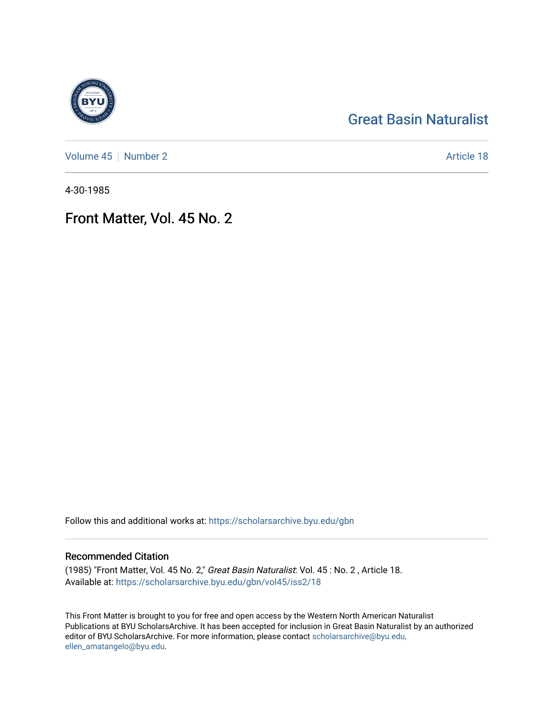## [Great Basin Naturalist](https://scholarsarchive.byu.edu/gbn)

[Volume 45](https://scholarsarchive.byu.edu/gbn/vol45) | [Number 2](https://scholarsarchive.byu.edu/gbn/vol45/iss2) Article 18

4-30-1985

## Front Matter, Vol. 45 No. 2

Follow this and additional works at: [https://scholarsarchive.byu.edu/gbn](https://scholarsarchive.byu.edu/gbn?utm_source=scholarsarchive.byu.edu%2Fgbn%2Fvol45%2Fiss2%2F18&utm_medium=PDF&utm_campaign=PDFCoverPages) 

## Recommended Citation

(1985) "Front Matter, Vol. 45 No. 2," Great Basin Naturalist: Vol. 45 : No. 2 , Article 18. Available at: [https://scholarsarchive.byu.edu/gbn/vol45/iss2/18](https://scholarsarchive.byu.edu/gbn/vol45/iss2/18?utm_source=scholarsarchive.byu.edu%2Fgbn%2Fvol45%2Fiss2%2F18&utm_medium=PDF&utm_campaign=PDFCoverPages) 

This Front Matter is brought to you for free and open access by the Western North American Naturalist Publications at BYU ScholarsArchive. It has been accepted for inclusion in Great Basin Naturalist by an authorized editor of BYU ScholarsArchive. For more information, please contact [scholarsarchive@byu.edu,](mailto:scholarsarchive@byu.edu,%20ellen_amatangelo@byu.edu) [ellen\\_amatangelo@byu.edu](mailto:scholarsarchive@byu.edu,%20ellen_amatangelo@byu.edu).

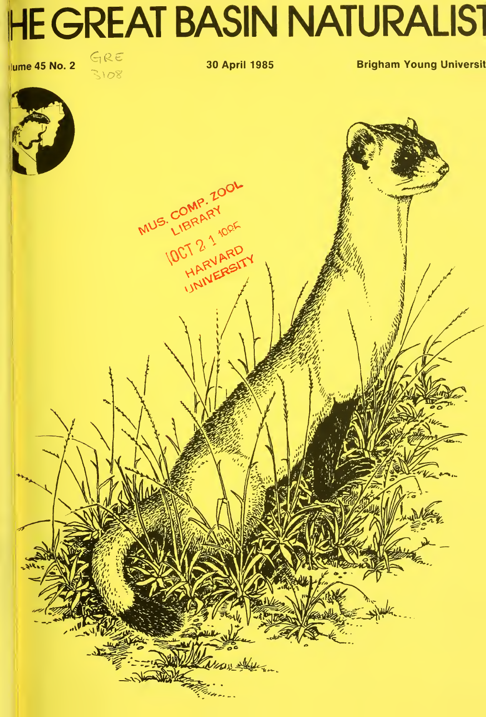